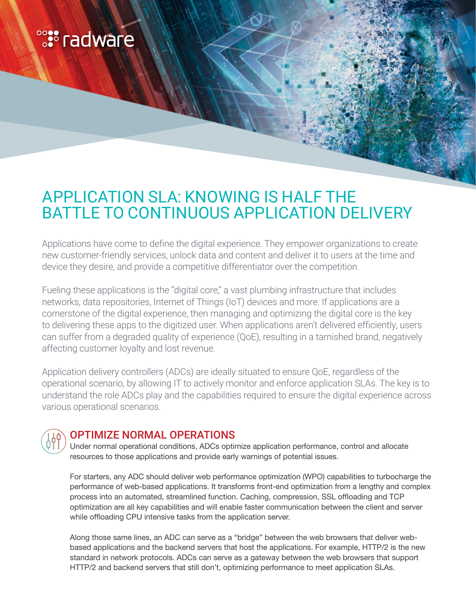# **<sup>o</sup>:** radware

# APPLICATION SLA: KNOWING IS HALF THE BATTLE TO CONTINUOUS APPLICATION DELIVERY

Applications have come to define the digital experience. They empower organizations to create new customer-friendly services, unlock data and content and deliver it to users at the time and device they desire, and provide a competitive differentiator over the competition.

Fueling these applications is the "digital core," a vast plumbing infrastructure that includes networks, data repositories, Internet of Things (IoT) devices and more. If applications are a cornerstone of the digital experience, then managing and optimizing the digital core is the key to delivering these apps to the digitized user. When applications aren't delivered efficiently, users can suffer from a degraded quality of experience (QoE), resulting in a tarnished brand, negatively affecting customer loyalty and lost revenue.

Application delivery controllers (ADCs) are ideally situated to ensure QoE, regardless of the operational scenario, by allowing IT to actively monitor and enforce application SLAs. The key is to understand the role ADCs play and the capabilities required to ensure the digital experience across various operational scenarios.



### OPTIMIZE NORMAL OPERATIONS

Under normal operational conditions, ADCs optimize application performance, control and allocate resources to those applications and provide early warnings of potential issues.

For starters, any ADC should deliver web performance optimization (WPO) capabilities to turbocharge the performance of web-based applications. It transforms front-end optimization from a lengthy and complex process into an automated, streamlined function. Caching, compression, SSL offloading and TCP optimization are all key capabilities and will enable faster communication between the client and server while offloading CPU intensive tasks from the application server.

Along those same lines, an ADC can serve as a "bridge" between the web browsers that deliver webbased applications and the backend servers that host the applications. For example, HTTP/2 is the new standard in network protocols. ADCs can serve as a gateway between the web browsers that support HTTP/2 and backend servers that still don't, optimizing performance to meet application SLAs.